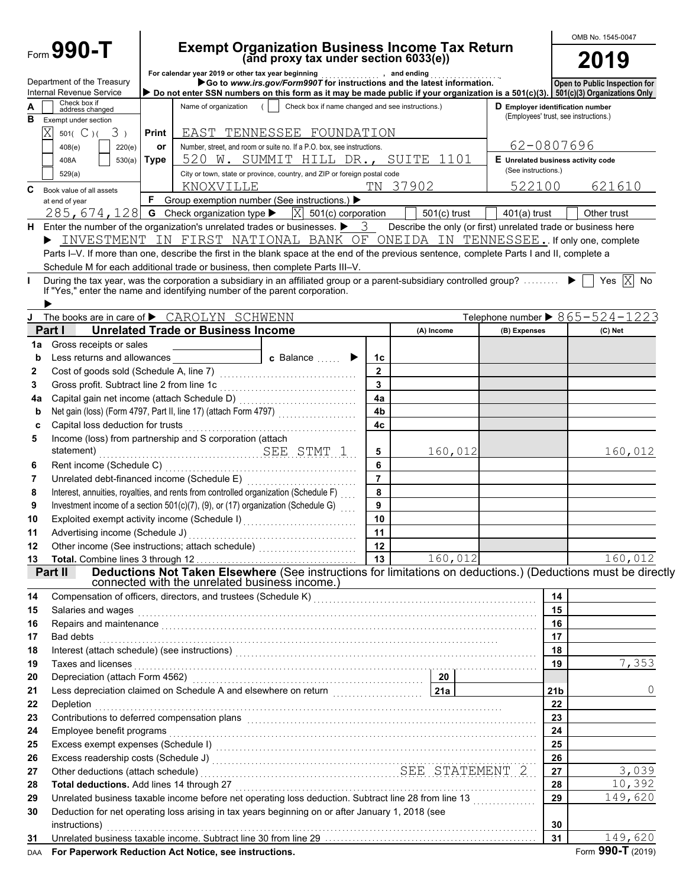|             |                                                                        |       |                                                                        |                                                                                                                                                                                                                                |                 |                                                               |                                                                           |                 | OMB No. 1545-0047                              |
|-------------|------------------------------------------------------------------------|-------|------------------------------------------------------------------------|--------------------------------------------------------------------------------------------------------------------------------------------------------------------------------------------------------------------------------|-----------------|---------------------------------------------------------------|---------------------------------------------------------------------------|-----------------|------------------------------------------------|
|             | Form 990-T                                                             |       |                                                                        | Exempt Organization Business Income Tax Return<br>(and proxy tax under section 6033(e))                                                                                                                                        |                 |                                                               |                                                                           |                 | 2019                                           |
|             | Department of the Treasury                                             |       | For calendar year 2019 or other tax year beginning                     | ear 2019 or other tax year beginning near beam and ending carrelation.<br>● Go to www. <i>irs.gov/Form990T</i> for instructions and the latest information.                                                                    |                 |                                                               |                                                                           |                 |                                                |
|             | Internal Revenue Service                                               |       |                                                                        | Do not enter SSN numbers on this form as it may be made public if your organization is a 501(c)(3). 501(c)(3) Organizations Only                                                                                               |                 |                                                               |                                                                           |                 | Open to Public Inspection for                  |
| в           | Check box if<br>address changed<br>Exempt under section                |       | Name of organization                                                   | Check box if name changed and see instructions.)                                                                                                                                                                               |                 |                                                               | D Employer identification number<br>(Employees' trust, see instructions.) |                 |                                                |
|             | $\overline{\text{X}}$<br>$501(^{\circ}C)(3)$                           | Print |                                                                        | EAST TENNESSEE FOUNDATION                                                                                                                                                                                                      |                 |                                                               |                                                                           |                 |                                                |
|             | 408(e)<br>220(e)                                                       | or    | Number, street, and room or suite no. If a P.O. box, see instructions. | 62-0807696                                                                                                                                                                                                                     |                 |                                                               |                                                                           |                 |                                                |
|             | 408A<br>530(a)                                                         | Type  |                                                                        | 520 W. SUMMIT HILL DR., SUITE 1101                                                                                                                                                                                             |                 |                                                               | E Unrelated business activity code<br>(See instructions.)                 |                 |                                                |
|             | 529(a)                                                                 |       |                                                                        | City or town, state or province, country, and ZIP or foreign postal code                                                                                                                                                       |                 |                                                               | 522100                                                                    |                 |                                                |
| C           | Book value of all assets<br>at end of year                             | F     | KNOXVILLE                                                              | Group exemption number (See instructions.) ▶                                                                                                                                                                                   |                 | TN 37902                                                      |                                                                           |                 | 621610                                         |
|             |                                                                        |       |                                                                        | 285, 674, 128 G Check organization type $\blacktriangleright$ $ X $ 501(c) corporation                                                                                                                                         |                 | $501(c)$ trust                                                | $401(a)$ trust                                                            |                 | Other trust                                    |
| н           |                                                                        |       |                                                                        | Enter the number of the organization's unrelated trades or businesses. $\blacktriangleright$ 3                                                                                                                                 |                 | Describe the only (or first) unrelated trade or business here |                                                                           |                 |                                                |
|             |                                                                        |       |                                                                        | INVESTMENT IN FIRST NATIONAL BANK OF ONEIDA IN TENNESSEE. If only one, complete                                                                                                                                                |                 |                                                               |                                                                           |                 |                                                |
|             |                                                                        |       |                                                                        | Parts I-V. If more than one, describe the first in the blank space at the end of the previous sentence, complete Parts I and II, complete a                                                                                    |                 |                                                               |                                                                           |                 |                                                |
|             |                                                                        |       |                                                                        | Schedule M for each additional trade or business, then complete Parts III-V.                                                                                                                                                   |                 |                                                               |                                                                           |                 |                                                |
|             |                                                                        |       |                                                                        | During the tax year, was the corporation a subsidiary in an affiliated group or a parent-subsidiary controlled group?  ▶ □                                                                                                     |                 |                                                               |                                                                           |                 | Yes $\overline{X}$ No                          |
|             |                                                                        |       |                                                                        | If "Yes," enter the name and identifying number of the parent corporation.                                                                                                                                                     |                 |                                                               |                                                                           |                 |                                                |
|             | The books are in care of $\blacktriangleright$ CAROLYN SCHWENN         |       |                                                                        |                                                                                                                                                                                                                                |                 |                                                               |                                                                           |                 | Telephone number $\triangleright$ 865-524-1223 |
|             | Part I                                                                 |       | <b>Unrelated Trade or Business Income</b>                              |                                                                                                                                                                                                                                |                 | (A) Income                                                    | (B) Expenses                                                              |                 | (C) Net                                        |
| 1a          | Gross receipts or sales                                                |       |                                                                        |                                                                                                                                                                                                                                |                 |                                                               |                                                                           |                 |                                                |
| b           |                                                                        |       |                                                                        | <b>c</b> Balance $\ldots$                                                                                                                                                                                                      | 1c              |                                                               |                                                                           |                 |                                                |
| 2           |                                                                        |       |                                                                        |                                                                                                                                                                                                                                | $\overline{2}$  |                                                               |                                                                           |                 |                                                |
| 3           | Gross profit. Subtract line 2 from line 1c                             |       |                                                                        |                                                                                                                                                                                                                                | 3               |                                                               |                                                                           |                 |                                                |
| 4a          |                                                                        |       |                                                                        |                                                                                                                                                                                                                                | 4a              |                                                               |                                                                           |                 |                                                |
| $\mathbf b$ |                                                                        |       |                                                                        |                                                                                                                                                                                                                                | 4 <sub>b</sub>  |                                                               |                                                                           |                 |                                                |
| C           | Capital loss deduction for trusts                                      |       |                                                                        |                                                                                                                                                                                                                                | 4c              |                                                               |                                                                           |                 |                                                |
| 5           | Income (loss) from partnership and S corporation (attach<br>statement) |       |                                                                        |                                                                                                                                                                                                                                |                 |                                                               |                                                                           |                 |                                                |
| 6           |                                                                        |       |                                                                        | SEE STMT 1                                                                                                                                                                                                                     | 5<br>6          | 160,012                                                       |                                                                           |                 | 160,012                                        |
| 7           | Unrelated debt-financed income (Schedule E)                            |       |                                                                        |                                                                                                                                                                                                                                | $\overline{7}$  |                                                               |                                                                           |                 |                                                |
| 8           |                                                                        |       |                                                                        | Interest, annuities, royalties, and rents from controlled organization (Schedule F)                                                                                                                                            | 8               |                                                               |                                                                           |                 |                                                |
| 9           |                                                                        |       |                                                                        | Investment income of a section $501(c)(7)$ , (9), or (17) organization (Schedule G)                                                                                                                                            | 9               |                                                               |                                                                           |                 |                                                |
| 10          |                                                                        |       |                                                                        | Exploited exempt activity income (Schedule I)                                                                                                                                                                                  | 10              |                                                               |                                                                           |                 |                                                |
| 11          |                                                                        |       |                                                                        |                                                                                                                                                                                                                                | 11              |                                                               |                                                                           |                 |                                                |
| 12          |                                                                        |       |                                                                        |                                                                                                                                                                                                                                | 12              |                                                               |                                                                           |                 |                                                |
| 13          |                                                                        |       |                                                                        |                                                                                                                                                                                                                                | 13 <sup>1</sup> | 160,012                                                       |                                                                           |                 | 160,012                                        |
|             | Part II                                                                |       |                                                                        | Deductions Not Taken Elsewhere (See instructions for limitations on deductions.) (Deductions must be directly<br>connected with the unrelated business income.)                                                                |                 |                                                               |                                                                           |                 |                                                |
| 14          |                                                                        |       |                                                                        | Compensation of officers, directors, and trustees (Schedule K) [11] Compensation (11] Compensation of officers, directors, and trustees (Schedule K) [11] Compensation (11] One of the Schedule K) [11] Compensation (11] One  |                 |                                                               |                                                                           | 14              |                                                |
| 15          |                                                                        |       |                                                                        |                                                                                                                                                                                                                                |                 |                                                               |                                                                           | 15              |                                                |
| 16          |                                                                        |       |                                                                        | Repairs and maintenance <b>construction and construction of the construction</b> and maintenance in the construction of                                                                                                        |                 |                                                               |                                                                           | 16              |                                                |
| 17          |                                                                        |       |                                                                        |                                                                                                                                                                                                                                |                 |                                                               |                                                                           | 17              |                                                |
| 18          |                                                                        |       |                                                                        |                                                                                                                                                                                                                                |                 |                                                               |                                                                           | 18              |                                                |
| 19          | Taxes and licenses                                                     |       |                                                                        |                                                                                                                                                                                                                                |                 |                                                               |                                                                           | 19              | 7,353                                          |
| 20          |                                                                        |       |                                                                        | Depreciation (attach Form 4562) Material Contract of the Contract of the Contract of the Contract of the Contract of the Contract of the Contract of the Contract of the Contract of the Contract of the Contract of the Contr |                 |                                                               |                                                                           |                 |                                                |
| 21          |                                                                        |       |                                                                        |                                                                                                                                                                                                                                |                 |                                                               |                                                                           | 21 <sub>b</sub> |                                                |
| 22          | Depletion                                                              |       |                                                                        |                                                                                                                                                                                                                                |                 |                                                               |                                                                           | 22              |                                                |
| 23<br>24    | Employee benefit programs                                              |       |                                                                        |                                                                                                                                                                                                                                |                 |                                                               |                                                                           | 23<br>24        |                                                |
| 25          |                                                                        |       |                                                                        |                                                                                                                                                                                                                                |                 |                                                               |                                                                           | 25              |                                                |
| 26          |                                                                        |       |                                                                        |                                                                                                                                                                                                                                |                 |                                                               |                                                                           | 26              |                                                |
| 27          |                                                                        |       |                                                                        | Other deductions (attach schedule) Material According SEE STATEMENT 2                                                                                                                                                          |                 |                                                               |                                                                           | 27              | 3,039                                          |
| 28          |                                                                        |       |                                                                        | Total deductions. Add lines 14 through 27 [11] Martin Martin Martin Martin Martin Martin Martin Martin Martin M                                                                                                                |                 |                                                               |                                                                           | 28              | 10,392                                         |
| 29          |                                                                        |       |                                                                        | Unrelated business taxable income before net operating loss deduction. Subtract line 28 from line 13 [[[[[[[[[                                                                                                                 |                 |                                                               |                                                                           | 29              | 149,620                                        |
| 30          |                                                                        |       |                                                                        | Deduction for net operating loss arising in tax years beginning on or after January 1, 2018 (see                                                                                                                               |                 |                                                               |                                                                           |                 |                                                |
|             | instructions)                                                          |       |                                                                        |                                                                                                                                                                                                                                |                 |                                                               |                                                                           | 30              |                                                |
| 31          |                                                                        |       |                                                                        |                                                                                                                                                                                                                                |                 |                                                               |                                                                           | 31              | 149,620                                        |
| DAA         | For Paperwork Reduction Act Notice, see instructions.                  |       |                                                                        |                                                                                                                                                                                                                                |                 |                                                               |                                                                           |                 | Form 990-T (2019)                              |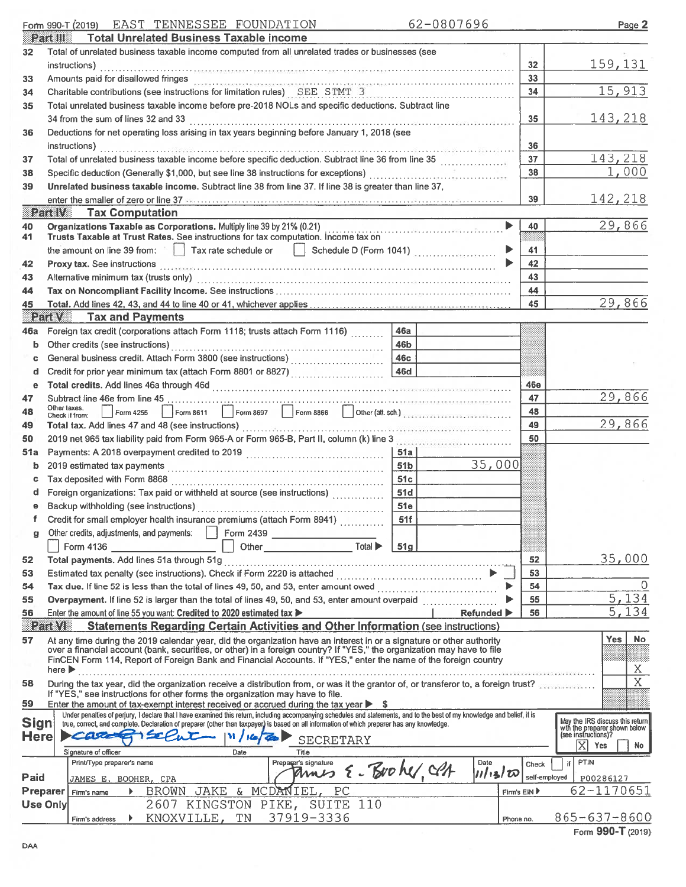### Form 990-T (2019) EAST TENNESSEE FOUNDATION 62-0807696

Page 2

|                      | extene                     | <b>Total Unrelated Business Taxable income</b>                                                                                                                                                                                                                                                                                                                                      |                 |                   |                       |               |    |                                                      |
|----------------------|----------------------------|-------------------------------------------------------------------------------------------------------------------------------------------------------------------------------------------------------------------------------------------------------------------------------------------------------------------------------------------------------------------------------------|-----------------|-------------------|-----------------------|---------------|----|------------------------------------------------------|
| 32                   |                            | Total of unrelated business taxable income computed from all unrelated trades or businesses (see                                                                                                                                                                                                                                                                                    |                 |                   |                       |               |    |                                                      |
|                      |                            | instructions)                                                                                                                                                                                                                                                                                                                                                                       |                 |                   |                       | 32            |    | 159, 131                                             |
| 33                   |                            | Amounts paid for disallowed fringes                                                                                                                                                                                                                                                                                                                                                 |                 |                   |                       | 33            |    |                                                      |
| 34                   |                            | Charitable contributions (see instructions for limitation rules) SEE STMT 3                                                                                                                                                                                                                                                                                                         |                 |                   |                       | 34            |    | 15,913                                               |
| 35                   |                            | Total unrelated business taxable income before pre-2018 NOLs and specific deductions. Subtract line                                                                                                                                                                                                                                                                                 |                 |                   |                       |               |    |                                                      |
|                      |                            | 34 from the sum of lines 32 and 33                                                                                                                                                                                                                                                                                                                                                  |                 |                   |                       | 35            |    | 143,218                                              |
| 36                   |                            | Deductions for net operating loss arising in tax years beginning before January 1, 2018 (see                                                                                                                                                                                                                                                                                        |                 |                   |                       |               |    |                                                      |
|                      |                            | instructions)                                                                                                                                                                                                                                                                                                                                                                       |                 |                   |                       | 36            |    |                                                      |
| 37                   |                            | Total of unrelated business taxable income before specific deduction. Subtract line 36 from line 35                                                                                                                                                                                                                                                                                 |                 |                   |                       | 37            |    | 143,218                                              |
|                      |                            |                                                                                                                                                                                                                                                                                                                                                                                     |                 |                   |                       | 38            |    | 1,000                                                |
| 38                   |                            | Specific deduction (Generally \$1,000, but see line 38 instructions for exceptions) [1] [1] Specific deduction (Generally \$1,000, but see line 38 instructions for exceptions)                                                                                                                                                                                                     |                 |                   |                       |               |    |                                                      |
| 39                   |                            | Unrelated business taxable income. Subtract line 38 from line 37. If line 38 is greater than line 37,                                                                                                                                                                                                                                                                               |                 |                   |                       |               |    |                                                      |
|                      |                            | enter the smaller of zero or line 37 <b>Section 20 CONSUMER 20 CONSUMER CONSUMER CONSUMER CONSUMER CONSUMER CONSUMER CONSUMER CONSUMER CONSUMER CONSUMER CONSUMER CONSUMER CONSUMER CONSUMER CON</b>                                                                                                                                                                                |                 |                   |                       | 39            |    | 142,218                                              |
|                      | e kin                      | <b>Tax Computation</b>                                                                                                                                                                                                                                                                                                                                                              |                 |                   |                       |               |    |                                                      |
| 40<br>41             |                            | Organizations Taxable as Corporations. Multiply line 39 by 21% (0.21)<br>Trusts Taxable at Trust Rates. See instructions for tax computation. Income tax on                                                                                                                                                                                                                         |                 |                   | $\blacktriangleright$ | 40            |    | 29,866                                               |
|                      |                            | the amount on line 39 from: $\ \cdot\ $ Tax rate schedule or                                                                                                                                                                                                                                                                                                                        |                 |                   | ▶                     | 41            |    |                                                      |
|                      |                            | $\left \right $ Schedule D (Form 1041)                                                                                                                                                                                                                                                                                                                                              |                 |                   |                       | 42            |    |                                                      |
| 42                   |                            | Proxy tax. See instructions                                                                                                                                                                                                                                                                                                                                                         |                 |                   |                       |               |    |                                                      |
| 43                   |                            | Alternative minimum tax (trusts only) encouragement control and the minimum state of the minimum tax (trusts only)                                                                                                                                                                                                                                                                  |                 |                   |                       | 43            |    |                                                      |
| 44                   |                            |                                                                                                                                                                                                                                                                                                                                                                                     |                 |                   |                       | 44            |    |                                                      |
| 45                   |                            |                                                                                                                                                                                                                                                                                                                                                                                     |                 |                   |                       | 45            |    | 29,866                                               |
|                      |                            | <b>Part V</b> Tax and Payments                                                                                                                                                                                                                                                                                                                                                      |                 |                   |                       |               |    |                                                      |
| 46а                  |                            | Foreign tax credit (corporations attach Form 1118; trusts attach Form 1116)                                                                                                                                                                                                                                                                                                         | 46a             |                   |                       |               |    |                                                      |
| b                    |                            | Other credits (see instructions)                                                                                                                                                                                                                                                                                                                                                    | 46b             |                   |                       |               |    |                                                      |
| c                    |                            |                                                                                                                                                                                                                                                                                                                                                                                     | <b>46c</b>      |                   |                       |               |    |                                                      |
| d                    |                            | Credit for prior year minimum tax (attach Form 8801 or 8827)                                                                                                                                                                                                                                                                                                                        | <b>46d</b>      |                   |                       |               |    |                                                      |
| е                    |                            |                                                                                                                                                                                                                                                                                                                                                                                     |                 |                   |                       | 46e           |    |                                                      |
| 47                   | Other taxes.               |                                                                                                                                                                                                                                                                                                                                                                                     |                 |                   |                       | 47            |    | 29,866                                               |
| 48                   |                            | Form 8611 Form 8697 Form 8866 J Other (att. sch.)<br>Form 4255<br>Check if from:                                                                                                                                                                                                                                                                                                    |                 |                   |                       | 48            |    |                                                      |
| 49                   |                            |                                                                                                                                                                                                                                                                                                                                                                                     |                 |                   |                       | 49            |    | 29,866                                               |
| 50                   |                            | 2019 net 965 tax liability paid from Form 965-A or Form 965-B, Part II, column (k) line 3                                                                                                                                                                                                                                                                                           |                 |                   |                       | 50            |    |                                                      |
| 51a                  |                            |                                                                                                                                                                                                                                                                                                                                                                                     | 51a             |                   |                       |               |    |                                                      |
| b                    |                            |                                                                                                                                                                                                                                                                                                                                                                                     | 51 <b>b</b>     | 35,000            |                       |               |    |                                                      |
| c                    |                            |                                                                                                                                                                                                                                                                                                                                                                                     | 51c             |                   |                       |               |    |                                                      |
| d                    |                            | Foreign organizations: Tax paid or withheld at source (see instructions)                                                                                                                                                                                                                                                                                                            | 51d             |                   |                       |               |    |                                                      |
| е                    |                            |                                                                                                                                                                                                                                                                                                                                                                                     | 51e             |                   |                       |               |    |                                                      |
| f                    |                            | Credit for small employer health insurance premiums (attach Form 8941)                                                                                                                                                                                                                                                                                                              | 51f             |                   |                       |               |    |                                                      |
|                      |                            | Other credits, adjustments, and payments:   Form 2439                                                                                                                                                                                                                                                                                                                               |                 |                   |                       |               |    |                                                      |
|                      |                            | Total $\blacktriangleright$<br>Other <b>Community</b> Department of the Community of the Community of the Community of the Community of the Community of the Community of the Community of the Community of the Community of the Community of the Community of the<br>Form 4136 2008 2009 12:00:00 12:00:00 12:00:00 12:00:00 12:00:00 12:00:00 12:00:00 12:00:00 12:00:00 12:00:00 | 51 <sub>g</sub> |                   |                       |               |    |                                                      |
| 52                   |                            |                                                                                                                                                                                                                                                                                                                                                                                     |                 |                   |                       | 52            |    | 35,000                                               |
| 53                   |                            |                                                                                                                                                                                                                                                                                                                                                                                     |                 |                   |                       | 53            |    |                                                      |
| 54                   |                            |                                                                                                                                                                                                                                                                                                                                                                                     |                 |                   |                       | 54            |    |                                                      |
| 55                   |                            | Overpayment. If line 52 is larger than the total of lines 49, 50, and 53, enter amount overpaid                                                                                                                                                                                                                                                                                     |                 |                   |                       | 55            |    | 5,134                                                |
| 56                   |                            | Enter the amount of line 55 you want: Credited to 2020 estimated tax                                                                                                                                                                                                                                                                                                                |                 | <b>Refunded</b> ▶ |                       | 56            |    | 5,134                                                |
|                      | BRITTANI                   | <b>Statements Regarding Certain Activities and Other Information (see instructions)</b>                                                                                                                                                                                                                                                                                             |                 |                   |                       |               |    |                                                      |
| 57                   |                            | At any time during the 2019 calendar year, did the organization have an interest in or a signature or other authority                                                                                                                                                                                                                                                               |                 |                   |                       |               |    | <b>No</b><br>Yes                                     |
|                      |                            | over a financial account (bank, securities, or other) in a foreign country? If "YES," the organization may have to file                                                                                                                                                                                                                                                             |                 |                   |                       |               |    |                                                      |
|                      | here $\blacktriangleright$ | FinCEN Form 114, Report of Foreign Bank and Financial Accounts. If "YES," enter the name of the foreign country                                                                                                                                                                                                                                                                     |                 |                   |                       |               |    | Χ                                                    |
|                      |                            |                                                                                                                                                                                                                                                                                                                                                                                     |                 |                   |                       |               |    | $\overline{X}$                                       |
| 58                   |                            | During the tax year, did the organization receive a distribution from, or was it the grantor of, or transferor to, a foreign trust?<br>If "YES," see instructions for other forms the organization may have to file.                                                                                                                                                                |                 |                   |                       |               |    |                                                      |
| 59                   |                            | Enter the amount of tax-exempt interest received or accrued during the tax year $\triangleright$ \$                                                                                                                                                                                                                                                                                 |                 |                   |                       |               |    |                                                      |
|                      |                            | Under penalties of perjury, I declare that I have examined this return, including accompanying schedules and statements, and to the best of my knowledge and belief, it is                                                                                                                                                                                                          |                 |                   |                       |               |    | May the IRS discuss this return                      |
| <b>Sign</b><br>Herel |                            | true, correct, and complete. Declaration of preparer (other than taxpayer) is based on all information of which preparer has any knowledge.<br>CASCILLA<br>$\mathbf{N}$ / $\mathbf{z}$                                                                                                                                                                                              |                 |                   |                       |               |    | with the preparer shown below<br>(see instructions)? |
|                      |                            | <b>SECRETARY</b>                                                                                                                                                                                                                                                                                                                                                                    |                 |                   |                       |               |    | IXI<br>Yes<br>No.                                    |
|                      |                            | Signature of officer<br>Date<br>Title<br>Print/Type preparer's name<br>Preparer's signature                                                                                                                                                                                                                                                                                         |                 | Date              |                       |               | if | PTIN                                                 |
|                      |                            | E-Brohe, CPA<br>Ames                                                                                                                                                                                                                                                                                                                                                                |                 | 11/13/00          |                       | Check         |    |                                                      |
| Paid                 |                            | JAMES E. BOOHER, CPA                                                                                                                                                                                                                                                                                                                                                                |                 |                   |                       | self-employed |    | P00286127                                            |
|                      | <b>Preparer</b>            | JAKE & MCDANIEL,<br>PC<br><b>BROWN</b><br>Firm's name                                                                                                                                                                                                                                                                                                                               |                 |                   | Firm's EIN            |               |    | 62-1170651                                           |
|                      | <b>Use Only</b>            | 2607 KINGSTON PIKE, SUITE 110                                                                                                                                                                                                                                                                                                                                                       |                 |                   |                       |               |    |                                                      |
|                      |                            | 37919-3336<br>KNOXVILLE, TN<br>Firm's address                                                                                                                                                                                                                                                                                                                                       |                 |                   | Phone no.             |               |    | 865-637-8600                                         |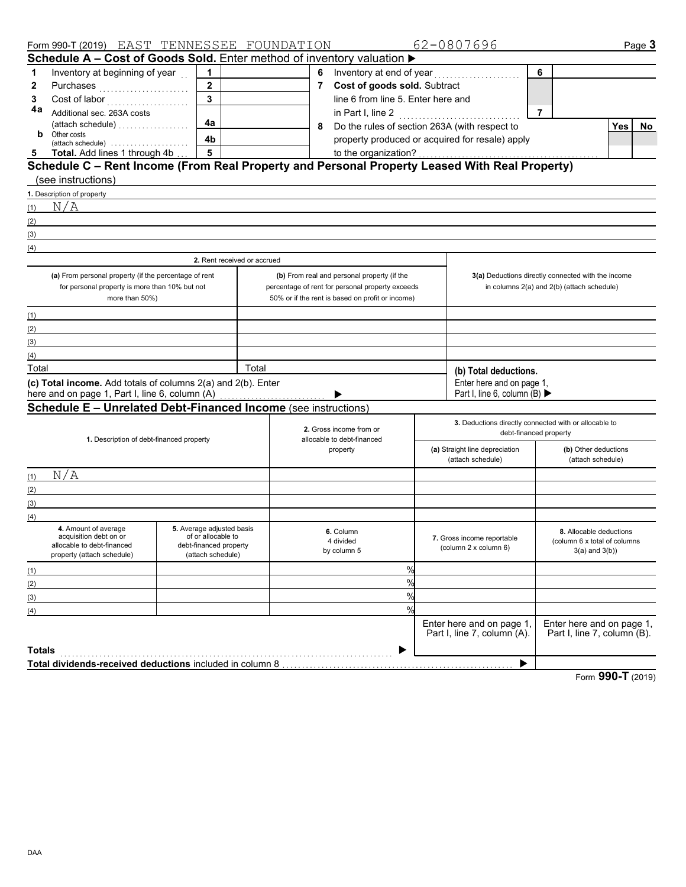|        | Form 990-T (2019) EAST TENNESSEE FOUNDATION                                                   |                                                 |       |             |                                                  | 62-0807696                                               |                |                                                          |            | Page 3 |
|--------|-----------------------------------------------------------------------------------------------|-------------------------------------------------|-------|-------------|--------------------------------------------------|----------------------------------------------------------|----------------|----------------------------------------------------------|------------|--------|
|        | Schedule A - Cost of Goods Sold. Enter method of inventory valuation $\blacktriangleright$    |                                                 |       |             |                                                  |                                                          |                |                                                          |            |        |
| 1      | Inventory at beginning of year                                                                | 1                                               |       | 6           |                                                  |                                                          | 6              |                                                          |            |        |
| 2      | Purchases                                                                                     | $\mathbf{2}$                                    |       | $7^{\circ}$ | Cost of goods sold. Subtract                     |                                                          |                |                                                          |            |        |
| 3      | Cost of labor                                                                                 |                                                 |       |             | line 6 from line 5. Enter here and               |                                                          |                |                                                          |            |        |
| 4a     | Additional sec. 263A costs                                                                    |                                                 |       |             | in Part I, line 2                                | .                                                        | $\overline{7}$ |                                                          |            |        |
|        |                                                                                               | 4a                                              |       | 8           | Do the rules of section 263A (with respect to    |                                                          |                |                                                          | <b>Yes</b> | No.    |
| b      | Other costs<br>(attach schedule)                                                              | 4b                                              |       |             | property produced or acquired for resale) apply  |                                                          |                |                                                          |            |        |
| 5      | Total. Add lines 1 through 4b                                                                 | 5                                               |       |             | to the organization?                             |                                                          |                |                                                          |            |        |
|        | Schedule C - Rent Income (From Real Property and Personal Property Leased With Real Property) |                                                 |       |             |                                                  |                                                          |                |                                                          |            |        |
|        | (see instructions)                                                                            |                                                 |       |             |                                                  |                                                          |                |                                                          |            |        |
|        | 1. Description of property                                                                    |                                                 |       |             |                                                  |                                                          |                |                                                          |            |        |
| (1)    | N/A                                                                                           |                                                 |       |             |                                                  |                                                          |                |                                                          |            |        |
| (2)    |                                                                                               |                                                 |       |             |                                                  |                                                          |                |                                                          |            |        |
| (3)    |                                                                                               |                                                 |       |             |                                                  |                                                          |                |                                                          |            |        |
| (4)    |                                                                                               |                                                 |       |             |                                                  |                                                          |                |                                                          |            |        |
|        |                                                                                               | 2. Rent received or accrued                     |       |             |                                                  |                                                          |                |                                                          |            |        |
|        | (a) From personal property (if the percentage of rent                                         |                                                 |       |             | (b) From real and personal property (if the      |                                                          |                | 3(a) Deductions directly connected with the income       |            |        |
|        | for personal property is more than 10% but not                                                |                                                 |       |             | percentage of rent for personal property exceeds |                                                          |                | in columns 2(a) and 2(b) (attach schedule)               |            |        |
|        | more than 50%)                                                                                |                                                 |       |             | 50% or if the rent is based on profit or income) |                                                          |                |                                                          |            |        |
| (1)    |                                                                                               |                                                 |       |             |                                                  |                                                          |                |                                                          |            |        |
| (2)    |                                                                                               |                                                 |       |             |                                                  |                                                          |                |                                                          |            |        |
| (3)    |                                                                                               |                                                 |       |             |                                                  |                                                          |                |                                                          |            |        |
| (4)    |                                                                                               |                                                 |       |             |                                                  |                                                          |                |                                                          |            |        |
| Total  |                                                                                               |                                                 | Total |             |                                                  | (b) Total deductions.                                    |                |                                                          |            |        |
|        | (c) Total income. Add totals of columns 2(a) and 2(b). Enter                                  |                                                 |       |             |                                                  | Enter here and on page 1,                                |                |                                                          |            |        |
|        | here and on page 1, Part I, line 6, column (A)                                                |                                                 |       |             |                                                  | Part I, line 6, column (B) $\blacktriangleright$         |                |                                                          |            |        |
|        | <b>Schedule E - Unrelated Debt-Financed Income (see instructions)</b>                         |                                                 |       |             |                                                  |                                                          |                |                                                          |            |        |
|        |                                                                                               |                                                 |       |             | 2. Gross income from or                          | 3. Deductions directly connected with or allocable to    |                |                                                          |            |        |
|        | 1. Description of debt-financed property                                                      |                                                 |       |             | allocable to debt-financed                       | debt-financed property                                   |                |                                                          |            |        |
|        |                                                                                               |                                                 |       |             | property                                         | (a) Straight line depreciation                           |                | (b) Other deductions                                     |            |        |
|        |                                                                                               |                                                 |       |             |                                                  | (attach schedule)                                        |                | (attach schedule)                                        |            |        |
| (1)    | N/A                                                                                           |                                                 |       |             |                                                  |                                                          |                |                                                          |            |        |
| (2)    |                                                                                               |                                                 |       |             |                                                  |                                                          |                |                                                          |            |        |
| (3)    |                                                                                               |                                                 |       |             |                                                  |                                                          |                |                                                          |            |        |
| (4)    |                                                                                               |                                                 |       |             |                                                  |                                                          |                |                                                          |            |        |
|        | 4. Amount of average<br>acquisition debt on or                                                | 5. Average adjusted basis<br>of or allocable to |       |             | 6. Column<br>4 divided                           | 7. Gross income reportable                               |                | 8. Allocable deductions<br>(column 6 x total of columns  |            |        |
|        | allocable to debt-financed                                                                    | debt-financed property                          |       |             | by column 5                                      | (column 2 x column 6)                                    |                | $3(a)$ and $3(b)$ )                                      |            |        |
|        | property (attach schedule)                                                                    | (attach schedule)                               |       |             |                                                  |                                                          |                |                                                          |            |        |
| (1)    |                                                                                               |                                                 |       |             | $\%$                                             |                                                          |                |                                                          |            |        |
| (2)    |                                                                                               |                                                 |       |             | $\%$                                             |                                                          |                |                                                          |            |        |
| (3)    |                                                                                               |                                                 |       |             | $\%$                                             |                                                          |                |                                                          |            |        |
| (4)    |                                                                                               |                                                 |       |             | $\frac{0}{c}$                                    |                                                          |                |                                                          |            |        |
|        |                                                                                               |                                                 |       |             |                                                  | Enter here and on page 1,<br>Part I, line 7, column (A). |                | Enter here and on page 1,<br>Part I, line 7, column (B). |            |        |
|        |                                                                                               |                                                 |       |             |                                                  |                                                          |                |                                                          |            |        |
| Totals |                                                                                               |                                                 |       |             |                                                  |                                                          |                |                                                          |            |        |
|        | Total dividends-received deductions included in column 8                                      |                                                 |       |             |                                                  | ▶                                                        |                |                                                          |            |        |

Form **990-T** (2019)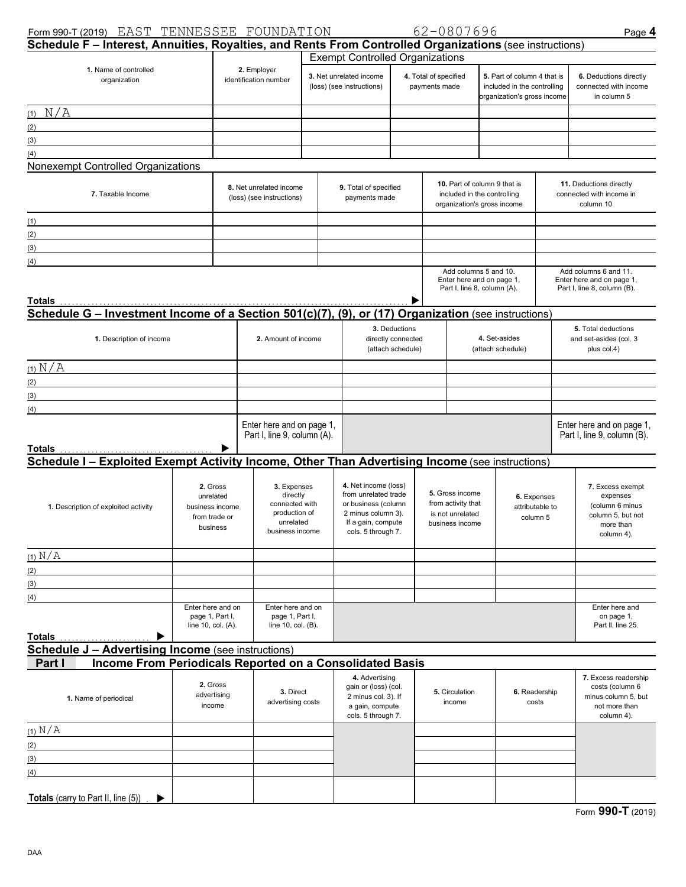| Form 990-T (2019) EAST TENNESSEE FOUNDATION                                                                                |                                                                       |                                                                                            |                         |                                                                                                                                       |                                        | 62-0807696                                                                   |                                                                                            |                                                                                           |  | Page 4                                                                                          |  |
|----------------------------------------------------------------------------------------------------------------------------|-----------------------------------------------------------------------|--------------------------------------------------------------------------------------------|-------------------------|---------------------------------------------------------------------------------------------------------------------------------------|----------------------------------------|------------------------------------------------------------------------------|--------------------------------------------------------------------------------------------|-------------------------------------------------------------------------------------------|--|-------------------------------------------------------------------------------------------------|--|
| Schedule F - Interest, Annuities, Royalties, and Rents From Controlled Organizations (see instructions)                    |                                                                       |                                                                                            |                         |                                                                                                                                       |                                        |                                                                              |                                                                                            |                                                                                           |  |                                                                                                 |  |
| 1. Name of controlled<br>organization                                                                                      |                                                                       | 2. Employer<br>identification number                                                       |                         | <b>Exempt Controlled Organizations</b><br>3. Net unrelated income<br>(loss) (see instructions)                                        |                                        | 4. Total of specified<br>payments made                                       |                                                                                            | 5. Part of column 4 that is<br>included in the controlling<br>organization's gross income |  | 6. Deductions directly<br>connected with income<br>in column 5                                  |  |
| (1) N/A                                                                                                                    |                                                                       |                                                                                            |                         |                                                                                                                                       |                                        |                                                                              |                                                                                            |                                                                                           |  |                                                                                                 |  |
| (2)                                                                                                                        |                                                                       |                                                                                            |                         |                                                                                                                                       |                                        |                                                                              |                                                                                            |                                                                                           |  |                                                                                                 |  |
| (3)                                                                                                                        |                                                                       |                                                                                            |                         |                                                                                                                                       |                                        |                                                                              |                                                                                            |                                                                                           |  |                                                                                                 |  |
| (4)                                                                                                                        |                                                                       |                                                                                            |                         |                                                                                                                                       |                                        |                                                                              |                                                                                            |                                                                                           |  |                                                                                                 |  |
| Nonexempt Controlled Organizations                                                                                         |                                                                       |                                                                                            |                         |                                                                                                                                       |                                        |                                                                              |                                                                                            |                                                                                           |  |                                                                                                 |  |
| 7. Taxable Income                                                                                                          |                                                                       | (loss) (see instructions)                                                                  | 8. Net unrelated income |                                                                                                                                       | 9. Total of specified<br>payments made |                                                                              | 10. Part of column 9 that is<br>included in the controlling<br>organization's gross income |                                                                                           |  | 11. Deductions directly<br>connected with income in<br>column 10                                |  |
| (1)                                                                                                                        |                                                                       |                                                                                            |                         |                                                                                                                                       |                                        |                                                                              |                                                                                            |                                                                                           |  |                                                                                                 |  |
| (2)                                                                                                                        |                                                                       |                                                                                            |                         |                                                                                                                                       |                                        |                                                                              |                                                                                            |                                                                                           |  |                                                                                                 |  |
| (3)<br><u> 1989 - Johann Stein, Amerikaansk politiker (</u>                                                                |                                                                       |                                                                                            |                         |                                                                                                                                       |                                        |                                                                              |                                                                                            |                                                                                           |  |                                                                                                 |  |
| (4)                                                                                                                        |                                                                       |                                                                                            |                         |                                                                                                                                       |                                        |                                                                              |                                                                                            |                                                                                           |  |                                                                                                 |  |
| Totals                                                                                                                     |                                                                       |                                                                                            |                         |                                                                                                                                       |                                        |                                                                              |                                                                                            | Add columns 5 and 10.<br>Enter here and on page 1,<br>Part I, line 8, column (A).         |  | Add columns 6 and 11.<br>Enter here and on page 1,<br>Part I, line 8, column (B).               |  |
| <u>Schedule G – Investment Income of a Section 501(c)(7), (9), or (17) Organization (see instructions)</u>                 |                                                                       |                                                                                            |                         |                                                                                                                                       |                                        |                                                                              |                                                                                            |                                                                                           |  |                                                                                                 |  |
| 1. Description of income                                                                                                   | 2. Amount of income                                                   | 3. Deductions<br>directly connected<br>(attach schedule)                                   |                         |                                                                                                                                       |                                        | 4. Set-asides<br>(attach schedule)                                           |                                                                                            | 5. Total deductions<br>and set-asides (col. 3<br>plus col.4)                              |  |                                                                                                 |  |
| $(1)$ $N/A$                                                                                                                |                                                                       |                                                                                            |                         |                                                                                                                                       |                                        |                                                                              |                                                                                            |                                                                                           |  |                                                                                                 |  |
| (2)                                                                                                                        |                                                                       |                                                                                            |                         |                                                                                                                                       |                                        |                                                                              |                                                                                            |                                                                                           |  |                                                                                                 |  |
| (3)<br><u> 1989 - Johann Barn, mars ann an t-Amhair an t-Amhair an t-Amhair an t-Amhair an t-Amhair an t-Amhair an t-A</u> |                                                                       |                                                                                            |                         |                                                                                                                                       |                                        |                                                                              |                                                                                            |                                                                                           |  |                                                                                                 |  |
| (4)                                                                                                                        |                                                                       |                                                                                            |                         |                                                                                                                                       |                                        |                                                                              |                                                                                            |                                                                                           |  |                                                                                                 |  |
| Totals                                                                                                                     |                                                                       | Enter here and on page 1,<br>Part I, line 9, column (A).                                   |                         |                                                                                                                                       |                                        |                                                                              |                                                                                            |                                                                                           |  | Enter here and on page 1,<br>Part I, line 9, column (B).                                        |  |
| Schedule I - Exploited Exempt Activity Income, Other Than Advertising Income (see instructions)                            |                                                                       |                                                                                            |                         |                                                                                                                                       |                                        |                                                                              |                                                                                            |                                                                                           |  |                                                                                                 |  |
|                                                                                                                            |                                                                       |                                                                                            |                         |                                                                                                                                       |                                        |                                                                              |                                                                                            |                                                                                           |  |                                                                                                 |  |
| 1. Description of exploited activity                                                                                       | 2. Gross<br>unrelated<br>business income<br>from trade or<br>business | 3. Expenses<br>directly<br>connected with<br>production of<br>unrelated<br>business income |                         | 4. Net income (loss)<br>from unrelated trade<br>or business (column<br>2 minus column 3).<br>If a gain, compute<br>cols. 5 through 7. |                                        | 5. Gross income<br>from activity that<br>is not unrelated<br>business income |                                                                                            | 6. Expenses<br>attributable to<br>column 5                                                |  | 7. Excess exempt<br>expenses<br>(column 6 minus<br>column 5, but not<br>more than<br>column 4). |  |
| $(1)$ N/A                                                                                                                  |                                                                       |                                                                                            |                         |                                                                                                                                       |                                        |                                                                              |                                                                                            |                                                                                           |  |                                                                                                 |  |
| (2)                                                                                                                        |                                                                       |                                                                                            |                         |                                                                                                                                       |                                        |                                                                              |                                                                                            |                                                                                           |  |                                                                                                 |  |
| (3)                                                                                                                        |                                                                       |                                                                                            |                         |                                                                                                                                       |                                        |                                                                              |                                                                                            |                                                                                           |  |                                                                                                 |  |
| (4)                                                                                                                        |                                                                       |                                                                                            |                         |                                                                                                                                       |                                        |                                                                              |                                                                                            |                                                                                           |  |                                                                                                 |  |
| <b>Totals</b>                                                                                                              | Enter here and on<br>page 1, Part I,<br>line 10, col. (A).            | Enter here and on<br>page 1, Part I,<br>line 10, col. (B).                                 |                         |                                                                                                                                       |                                        |                                                                              |                                                                                            |                                                                                           |  | Enter here and<br>on page 1,<br>Part II, line 25.                                               |  |
| <b>Schedule J - Advertising Income (see instructions)</b>                                                                  |                                                                       |                                                                                            |                         |                                                                                                                                       |                                        |                                                                              |                                                                                            |                                                                                           |  |                                                                                                 |  |
| Income From Periodicals Reported on a Consolidated Basis<br>Part I                                                         |                                                                       |                                                                                            |                         |                                                                                                                                       |                                        |                                                                              |                                                                                            |                                                                                           |  |                                                                                                 |  |
| 1. Name of periodical                                                                                                      | 2. Gross<br>advertising<br>income                                     | 3. Direct<br>advertising costs                                                             |                         | 4. Advertising<br>gain or (loss) (col.<br>2 minus col. 3). If<br>a gain, compute<br>cols. 5 through 7.                                |                                        | 5. Circulation<br>income                                                     |                                                                                            | 6. Readership<br>costs                                                                    |  | 7. Excess readership<br>costs (column 6<br>minus column 5, but<br>not more than<br>column 4).   |  |
| $(1)$ N/A                                                                                                                  |                                                                       |                                                                                            |                         |                                                                                                                                       |                                        |                                                                              |                                                                                            |                                                                                           |  |                                                                                                 |  |
| (2)                                                                                                                        |                                                                       |                                                                                            |                         |                                                                                                                                       |                                        |                                                                              |                                                                                            |                                                                                           |  |                                                                                                 |  |
| (3)                                                                                                                        |                                                                       |                                                                                            |                         |                                                                                                                                       |                                        |                                                                              |                                                                                            |                                                                                           |  |                                                                                                 |  |
| (4)                                                                                                                        |                                                                       |                                                                                            |                         |                                                                                                                                       |                                        |                                                                              |                                                                                            |                                                                                           |  |                                                                                                 |  |
| Totals (carry to Part II, line (5))                                                                                        |                                                                       |                                                                                            |                         |                                                                                                                                       |                                        |                                                                              |                                                                                            |                                                                                           |  |                                                                                                 |  |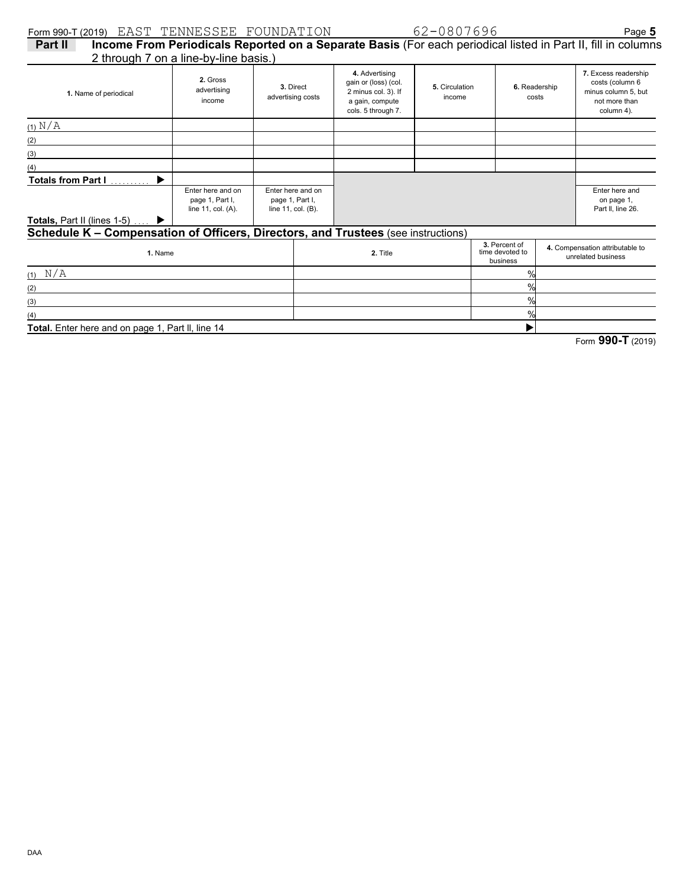| Form 990-T (2019) EAST TENNESSEE FOUNDATION                                       |                                                            |                                                            |          |                                                                                                        | 62-0807696               |                                              |                        | Page 5                                                                                                       |
|-----------------------------------------------------------------------------------|------------------------------------------------------------|------------------------------------------------------------|----------|--------------------------------------------------------------------------------------------------------|--------------------------|----------------------------------------------|------------------------|--------------------------------------------------------------------------------------------------------------|
| Part II                                                                           |                                                            |                                                            |          |                                                                                                        |                          |                                              |                        | Income From Periodicals Reported on a Separate Basis (For each periodical listed in Part II, fill in columns |
| 2 through 7 on a line-by-line basis.)                                             |                                                            |                                                            |          |                                                                                                        |                          |                                              |                        |                                                                                                              |
| 1. Name of periodical                                                             | 2. Gross<br>advertising<br>income                          | 3. Direct<br>advertising costs                             |          | 4. Advertising<br>gain or (loss) (col.<br>2 minus col. 3). If<br>a gain, compute<br>cols. 5 through 7. | 5. Circulation<br>income |                                              | 6. Readership<br>costs | 7. Excess readership<br>costs (column 6<br>minus column 5, but<br>not more than<br>column 4).                |
| $(1)$ N/A                                                                         |                                                            |                                                            |          |                                                                                                        |                          |                                              |                        |                                                                                                              |
| (2)                                                                               |                                                            |                                                            |          |                                                                                                        |                          |                                              |                        |                                                                                                              |
| (3)                                                                               |                                                            |                                                            |          |                                                                                                        |                          |                                              |                        |                                                                                                              |
| (4)                                                                               |                                                            |                                                            |          |                                                                                                        |                          |                                              |                        |                                                                                                              |
| <b>Totals from Part I</b>                                                         |                                                            |                                                            |          |                                                                                                        |                          |                                              |                        |                                                                                                              |
|                                                                                   | Enter here and on<br>page 1, Part I,<br>line 11, col. (A). | Enter here and on<br>page 1, Part I,<br>line 11, col. (B). |          |                                                                                                        |                          |                                              |                        | Enter here and<br>on page 1,<br>Part II. line 26.                                                            |
| <b>Totals, Part II (lines 1-5)</b>                                                |                                                            |                                                            |          |                                                                                                        |                          |                                              |                        |                                                                                                              |
| Schedule K - Compensation of Officers, Directors, and Trustees (see instructions) |                                                            |                                                            |          |                                                                                                        |                          |                                              |                        |                                                                                                              |
| 1. Name                                                                           |                                                            |                                                            | 2. Title |                                                                                                        |                          | 3. Percent of<br>time devoted to<br>business |                        | 4. Compensation attributable to<br>unrelated business                                                        |
| N/A                                                                               |                                                            |                                                            |          |                                                                                                        |                          | $\frac{0}{0}$                                |                        |                                                                                                              |
| (2)                                                                               |                                                            |                                                            |          |                                                                                                        |                          | $\frac{0}{0}$                                |                        |                                                                                                              |

(4) **Total.** Enter here and on page 1, Part ll, line 14

(3)

Form **990-T** (2019)

 $\blacktriangleright$ 

% %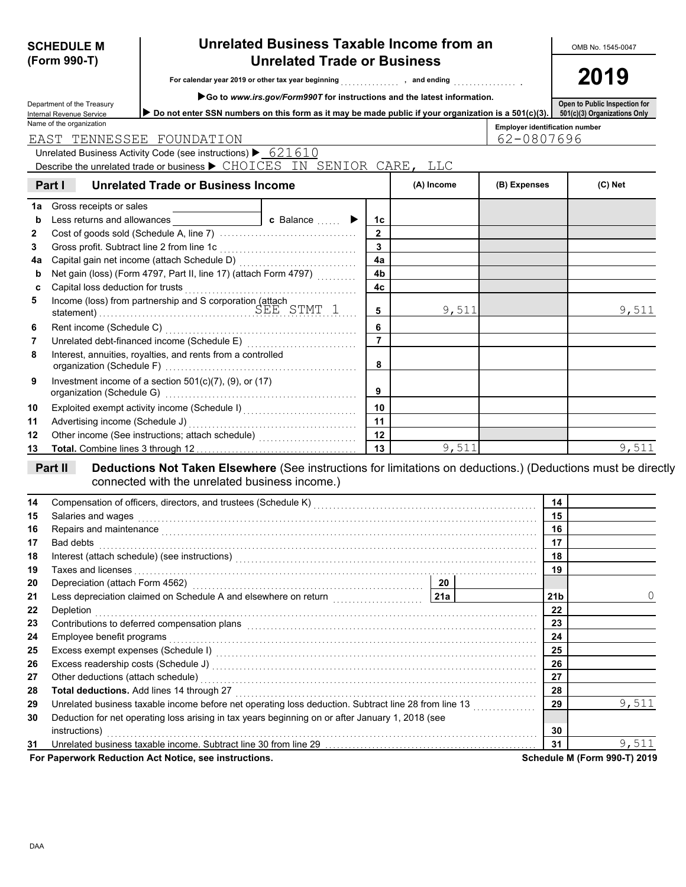|    | (Form 990-T)                                         |                                                                                                                                                                                                                                | <b>Unrelated Trade or Business</b>                                        | 2019           |            |                                |                 |                              |  |  |
|----|------------------------------------------------------|--------------------------------------------------------------------------------------------------------------------------------------------------------------------------------------------------------------------------------|---------------------------------------------------------------------------|----------------|------------|--------------------------------|-----------------|------------------------------|--|--|
|    |                                                      |                                                                                                                                                                                                                                | For calendar year 2019 or other tax year beginning [1] year to and ending |                |            |                                |                 |                              |  |  |
|    | Department of the Treasury                           |                                                                                                                                                                                                                                | Go to www.irs.gov/Form990T for instructions and the latest information.   |                |            | Open to Public Inspection for  |                 |                              |  |  |
|    | Internal Revenue Service<br>Name of the organization | Do not enter SSN numbers on this form as it may be made public if your organization is a 501(c)(3).                                                                                                                            |                                                                           |                |            | Employer identification number |                 | 501(c)(3) Organizations Only |  |  |
|    |                                                      | EAST TENNESSEE FOUNDATION                                                                                                                                                                                                      |                                                                           |                |            | 62-0807696                     |                 |                              |  |  |
|    |                                                      | Unrelated Business Activity Code (see instructions) $\blacktriangleright$ 621610                                                                                                                                               |                                                                           |                |            |                                |                 |                              |  |  |
|    |                                                      | Describe the unrelated trade or business ▶ CHOICES IN SENIOR CARE, LLC                                                                                                                                                         |                                                                           |                |            |                                |                 |                              |  |  |
|    | Part I                                               | <b>Unrelated Trade or Business Income</b>                                                                                                                                                                                      |                                                                           |                | (A) Income | (B) Expenses                   |                 | (C) Net                      |  |  |
| 1a | Gross receipts or sales                              |                                                                                                                                                                                                                                |                                                                           |                |            |                                |                 |                              |  |  |
| b  |                                                      | Less returns and allowances                                                                                                                                                                                                    | <b>c</b> Balance $\ldots$ $\blacktriangleright$                           | 1c             |            |                                |                 |                              |  |  |
| 2  |                                                      |                                                                                                                                                                                                                                |                                                                           | $\mathbf{2}$   |            |                                |                 |                              |  |  |
| 3  | Gross profit. Subtract line 2 from line 1c           |                                                                                                                                                                                                                                |                                                                           | $\mathbf{3}$   |            |                                |                 |                              |  |  |
| 4a |                                                      |                                                                                                                                                                                                                                |                                                                           | 4a             |            |                                |                 |                              |  |  |
| b  |                                                      | Net gain (loss) (Form 4797, Part II, line 17) (attach Form 4797)                                                                                                                                                               |                                                                           | 4b             |            |                                |                 |                              |  |  |
| c  | Capital loss deduction for trusts                    |                                                                                                                                                                                                                                |                                                                           | 4 <sub>c</sub> |            |                                |                 |                              |  |  |
| 5  |                                                      |                                                                                                                                                                                                                                |                                                                           | 5              | 9,511      |                                |                 | 9,511                        |  |  |
| 6  | Rent income (Schedule C)                             |                                                                                                                                                                                                                                |                                                                           | 6              |            |                                |                 |                              |  |  |
| 7  |                                                      |                                                                                                                                                                                                                                |                                                                           | $\overline{7}$ |            |                                |                 |                              |  |  |
| 8  |                                                      | Interest, annuities, royalties, and rents from a controlled                                                                                                                                                                    |                                                                           | 8              |            |                                |                 |                              |  |  |
| 9  |                                                      | Investment income of a section $501(c)(7)$ , (9), or (17)                                                                                                                                                                      |                                                                           | 9              |            |                                |                 |                              |  |  |
| 10 |                                                      |                                                                                                                                                                                                                                |                                                                           | 10             |            |                                |                 |                              |  |  |
| 11 | Advertising income (Schedule J)                      |                                                                                                                                                                                                                                |                                                                           | 11             |            |                                |                 |                              |  |  |
| 12 |                                                      | Other income (See instructions; attach schedule)                                                                                                                                                                               |                                                                           | 12             |            |                                |                 |                              |  |  |
| 13 |                                                      |                                                                                                                                                                                                                                |                                                                           | 13             | 9,511      |                                |                 | 9,511                        |  |  |
|    | Part II                                              | Deductions Not Taken Elsewhere (See instructions for limitations on deductions.) (Deductions must be directly<br>connected with the unrelated business income.)                                                                |                                                                           |                |            |                                |                 |                              |  |  |
| 14 |                                                      |                                                                                                                                                                                                                                |                                                                           |                |            |                                | 14              |                              |  |  |
| 15 | Salaries and wages                                   |                                                                                                                                                                                                                                |                                                                           |                |            |                                | 15              |                              |  |  |
| 16 |                                                      | Repairs and maintenance <i>communications</i> and maintenance and maintenance and maintenance and maintenance                                                                                                                  |                                                                           |                |            |                                | 16              |                              |  |  |
| 17 | Bad debts                                            |                                                                                                                                                                                                                                |                                                                           |                |            |                                | 17              |                              |  |  |
| 18 |                                                      | Interest (attach schedule) (see instructions)                                                                                                                                                                                  |                                                                           |                |            |                                | 18              |                              |  |  |
| 19 |                                                      |                                                                                                                                                                                                                                |                                                                           |                |            |                                | 19              |                              |  |  |
| 20 | Depreciation (attach Form 4562)                      |                                                                                                                                                                                                                                |                                                                           |                | 20         |                                |                 |                              |  |  |
| 21 |                                                      |                                                                                                                                                                                                                                |                                                                           |                | 21a        |                                | 21 <sub>b</sub> |                              |  |  |
| 22 | Depletion                                            |                                                                                                                                                                                                                                |                                                                           |                |            |                                | 22              |                              |  |  |
| 23 |                                                      | Contributions to deferred compensation plans [11] Contribution of the deferred compensation plans [11] Contributions to deferred compensation plans [11] All and the state of the state of the state of the state of the state |                                                                           |                |            |                                | 23              |                              |  |  |
| 24 | Employee benefit programs                            |                                                                                                                                                                                                                                |                                                                           |                |            |                                | 24              |                              |  |  |
| 25 |                                                      |                                                                                                                                                                                                                                |                                                                           |                |            |                                | 25              |                              |  |  |
| 26 |                                                      |                                                                                                                                                                                                                                |                                                                           |                |            |                                | 26              |                              |  |  |
| 27 | Other deductions (attach schedule)                   |                                                                                                                                                                                                                                |                                                                           |                |            |                                | 27              |                              |  |  |
| 28 |                                                      | Total deductions. Add lines 14 through 27                                                                                                                                                                                      |                                                                           |                |            |                                | 28              |                              |  |  |
| 29 |                                                      | Unrelated business taxable income before net operating loss deduction. Subtract line 28 from line 13                                                                                                                           |                                                                           |                |            |                                | 29              | 9,511                        |  |  |
| 30 | instructions)                                        | Deduction for net operating loss arising in tax years beginning on or after January 1, 2018 (see                                                                                                                               |                                                                           |                |            |                                | 30              |                              |  |  |
| 31 |                                                      | Unrelated business taxable income. Subtract line 30 from line 29 [11] [11] Unrelated business taxable income. Subtract line 30 from line 29 [11] [11] $\cdot$                                                                  |                                                                           |                |            |                                | 31              | 9,511                        |  |  |

**SCHEDULE M Unrelated Business Taxable Income from an** 

**For Paperwork Reduction Act Notice, see instructions.** Schedule M (Form 990-T) 2019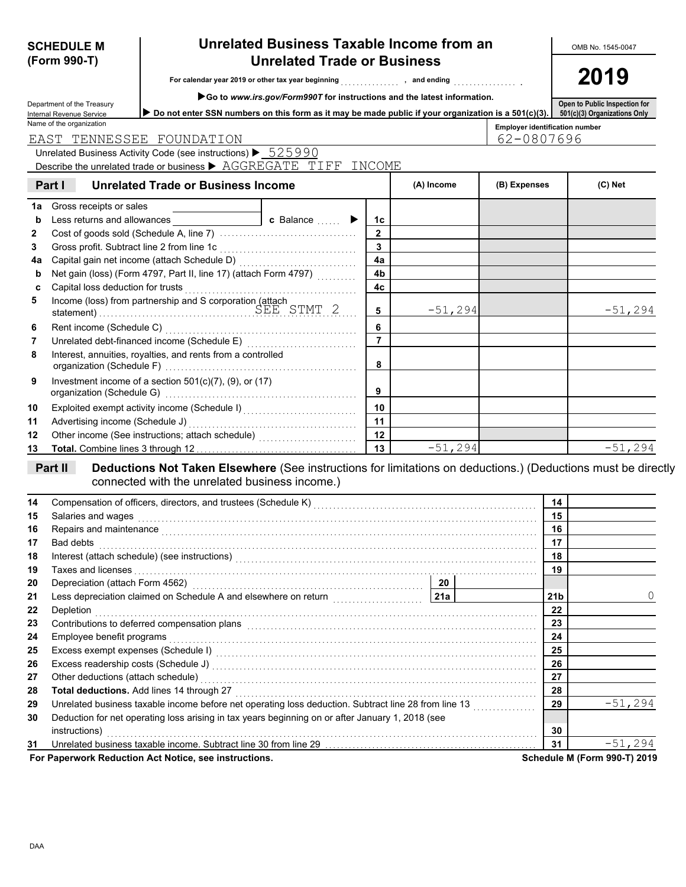| Department of the Treasury<br>Do not enter SSN numbers on this form as it may be made public if your organization is a 501(c)(3). 501(c)(3) Organizations Only<br>Internal Revenue Service                                                                 |                 |            |                                       | Open to Public Inspection for |
|------------------------------------------------------------------------------------------------------------------------------------------------------------------------------------------------------------------------------------------------------------|-----------------|------------|---------------------------------------|-------------------------------|
| Name of the organization                                                                                                                                                                                                                                   |                 |            | <b>Employer identification number</b> |                               |
| EAST TENNESSEE FOUNDATION                                                                                                                                                                                                                                  |                 |            | 62-0807696                            |                               |
| Unrelated Business Activity Code (see instructions) ▶ 525990                                                                                                                                                                                               |                 |            |                                       |                               |
| Describe the unrelated trade or business ▶ AGGREGATE TIFF INCOME                                                                                                                                                                                           |                 |            |                                       |                               |
| Part I<br><b>Unrelated Trade or Business Income</b>                                                                                                                                                                                                        |                 | (A) Income | (B) Expenses                          | $(C)$ Net                     |
| Gross receipts or sales<br>1a                                                                                                                                                                                                                              |                 |            |                                       |                               |
| c Balance  ▶<br>b                                                                                                                                                                                                                                          | 1c              |            |                                       |                               |
| 2                                                                                                                                                                                                                                                          | $\overline{2}$  |            |                                       |                               |
| Gross profit. Subtract line 2 from line 1c<br>3                                                                                                                                                                                                            | $\overline{3}$  |            |                                       |                               |
| 4a                                                                                                                                                                                                                                                         | 4a              |            |                                       |                               |
| Net gain (loss) (Form 4797, Part II, line 17) (attach Form 4797)<br>b                                                                                                                                                                                      | 4b              |            |                                       |                               |
| Capital loss deduction for trusts<br>c                                                                                                                                                                                                                     | 4c              |            |                                       |                               |
| Income (loss) from partnership and S corporation (attach<br>statement) SEE STMT 2<br>5                                                                                                                                                                     | 5               | $-51,294$  |                                       | $-51,294$                     |
| Rent income (Schedule C)<br>6                                                                                                                                                                                                                              | 6               |            |                                       |                               |
| 7                                                                                                                                                                                                                                                          | $\overline{7}$  |            |                                       |                               |
| Interest, annuities, royalties, and rents from a controlled<br>8                                                                                                                                                                                           | 8               |            |                                       |                               |
| Investment income of a section $501(c)(7)$ , (9), or (17)<br>9                                                                                                                                                                                             | 9               |            |                                       |                               |
| Exploited exempt activity income (Schedule I)<br>10                                                                                                                                                                                                        | 10              |            |                                       |                               |
| Advertising income (Schedule J)<br>11                                                                                                                                                                                                                      | 11              |            |                                       |                               |
| Other income (See instructions; attach schedule)<br>12                                                                                                                                                                                                     | $\overline{12}$ |            |                                       |                               |
| 13                                                                                                                                                                                                                                                         | $\overline{13}$ | $-51,294$  |                                       | $-51, 294$                    |
| Deductions Not Taken Elsewhere (See instructions for limitations on deductions.) (Deductions must be directly<br>Part II<br>connected with the unrelated business income.)<br>14                                                                           |                 |            | 14                                    |                               |
| Compensation of officers, directors, and trustees (Schedule K) [11] Compensation (11] Compensation of officers, directors, and trustees (Schedule K) [11] Compensation (11] Competition (11] Competition (11] Competition (11]<br>Salaries and wages<br>15 |                 |            | 15                                    |                               |
| 16                                                                                                                                                                                                                                                         |                 |            | 16                                    |                               |
| Repairs and maintenance <b>communications</b> and all the contract of the contract of the contract of the contract of the contract of the contract of the contract of the contract of the contract of the contract of the contract<br>Bad debts<br>17      |                 |            | 17                                    |                               |
| 18                                                                                                                                                                                                                                                         |                 |            | 18                                    |                               |
| 19<br>Taxes and licenses with a construction of the construction of the construction of the construction of the construction of the construction of the construction of the construction of the construction of the construction of                        |                 |            | 19                                    |                               |
| 20                                                                                                                                                                                                                                                         |                 | 20         |                                       |                               |
| Less depreciation claimed on Schedule A and elsewhere on return<br>21                                                                                                                                                                                      |                 | 21a        | 21 <sub>b</sub>                       | 0                             |
| Depletion<br>22                                                                                                                                                                                                                                            |                 |            | 22                                    |                               |
| Contributions to deferred compensation plans entertainment contracts and contributions to deferred compensation plans<br>23                                                                                                                                |                 |            |                                       | 23                            |
| 24<br>Employee benefit programs                                                                                                                                                                                                                            |                 |            | 24                                    |                               |
| Excess exempt expenses (Schedule I) Material Contract Constant Contract Constant Constant Constant Constant Co<br>25                                                                                                                                       |                 |            | 25                                    |                               |
| 26                                                                                                                                                                                                                                                         |                 |            | 26                                    |                               |
| Other deductions (attach schedule)<br>27                                                                                                                                                                                                                   |                 |            | 27                                    |                               |
| Total deductions. Add lines 14 through 27<br>28                                                                                                                                                                                                            |                 |            | 28                                    |                               |
| Unrelated business taxable income before net operating loss deduction. Subtract line 28 from line 13<br>29                                                                                                                                                 |                 |            | 29                                    | $-51,294$                     |
| Deduction for net operating loss arising in tax years beginning on or after January 1, 2018 (see<br>30                                                                                                                                                     |                 |            |                                       |                               |
| instructions)                                                                                                                                                                                                                                              |                 |            | 30                                    |                               |
| Unrelated business taxable income. Subtract line 30 from line 29 [11] Conservation and the business taxable income. Subtract line 30 from line 29<br>31                                                                                                    |                 |            |                                       |                               |
|                                                                                                                                                                                                                                                            |                 |            | 31                                    | $-51,294$                     |

# **SCHEDULE M Unrelated Business Taxable Income from an Unrelated Trade or Business**

**For calendar year 2019 or other tax year beginning** . . . . . . . . . . . . . . . **, and ending** . . . . . . . . . . . . . . . . **.**

**Go to** *www.irs.gov/Form990T* **for instructions and the latest information.**

**2019**

**(Form 990-T)**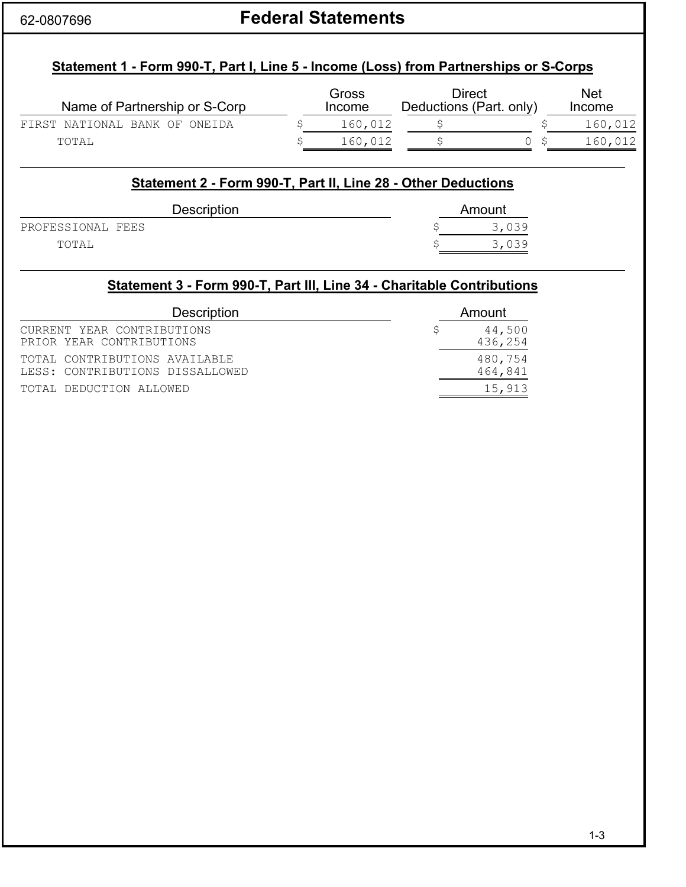# 62-0807696 **Federal Statements**

# **Statement 1 - Form 990-T, Part I, Line 5 - Income (Loss) from Partnerships or S-Corps**

| Name of Partnership or S-Corp | Gross<br>Income | Direct<br>Deductions (Part. only) | <b>Net</b><br>Income |
|-------------------------------|-----------------|-----------------------------------|----------------------|
| FIRST NATIONAL BANK OF ONEIDA | 160,012         |                                   | 160,012              |
| TOTAL                         | 160,012         |                                   | 160,012              |

### **Statement 2 - Form 990-T, Part II, Line 28 - Other Deductions**

| Description       | Amount |       |  |  |
|-------------------|--------|-------|--|--|
| PROFESSIONAL FEES |        | 3,039 |  |  |
| TOTAL             |        | 3,039 |  |  |

# **Statement 3 - Form 990-T, Part III, Line 34 - Charitable Contributions**

| <b>Description</b>              | Amount  |
|---------------------------------|---------|
| CURRENT YEAR CONTRIBUTIONS      | 44,500  |
| PRIOR YEAR CONTRIBUTIONS        | 436,254 |
| TOTAL CONTRIBUTIONS AVAILABLE   | 480,754 |
| LESS: CONTRIBUTIONS DISSALLOWED | 464,841 |
| TOTAL DEDUCTION ALLOWED         | 15,913  |